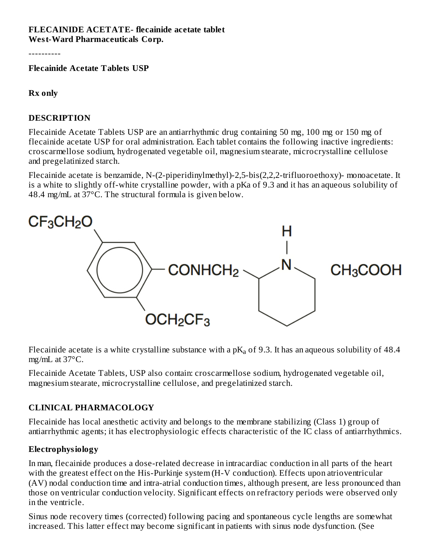#### **FLECAINIDE ACETATE- flecainide acetate tablet West-Ward Pharmaceuticals Corp.**

----------

**Flecainide Acetate Tablets USP**

#### **Rx only**

#### **DESCRIPTION**

Flecainide Acetate Tablets USP are an antiarrhythmic drug containing 50 mg, 100 mg or 150 mg of flecainide acetate USP for oral administration. Each tablet contains the following inactive ingredients: croscarmellose sodium, hydrogenated vegetable oil, magnesium stearate, microcrystalline cellulose and pregelatinized starch.

Flecainide acetate is benzamide, N-(2-piperidinylmethyl)-2,5-bis(2,2,2-trifluoroethoxy)- monoacetate. It is a white to slightly off-white crystalline powder, with a pKa of 9.3 and it has an aqueous solubility of 48.4 mg/mL at 37°C. The structural formula is given below.



Flecainide acetate is a white crystalline substance with a p $\rm K_a$  of 9.3. It has an aqueous solubility of 48.4 mg/mL at 37°C.

Flecainide Acetate Tablets, USP also contain: croscarmellose sodium, hydrogenated vegetable oil, magnesium stearate, microcrystalline cellulose, and pregelatinized starch.

#### **CLINICAL PHARMACOLOGY**

Flecainide has local anesthetic activity and belongs to the membrane stabilizing (Class 1) group of antiarrhythmic agents; it has electrophysiologic effects characteristic of the IC class of antiarrhythmics.

#### **Electrophysiology**

In man, flecainide produces a dose-related decrease in intracardiac conduction in all parts of the heart with the greatest effect on the His-Purkinje system (H-V conduction). Effects upon atrioventricular (AV) nodal conduction time and intra-atrial conduction times, although present, are less pronounced than those on ventricular conduction velocity. Significant effects on refractory periods were observed only in the ventricle.

Sinus node recovery times (corrected) following pacing and spontaneous cycle lengths are somewhat increased. This latter effect may become significant in patients with sinus node dysfunction. (See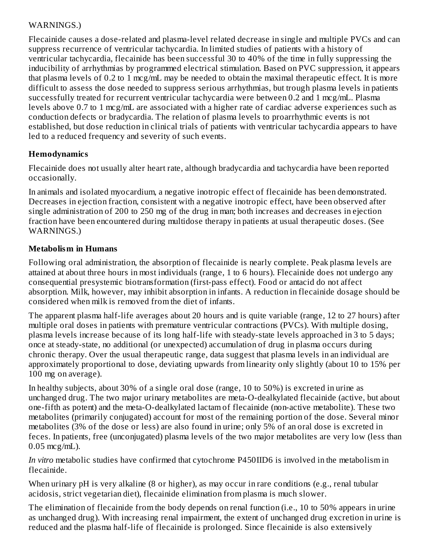#### WARNINGS.)

Flecainide causes a dose-related and plasma-level related decrease in single and multiple PVCs and can suppress recurrence of ventricular tachycardia. In limited studies of patients with a history of ventricular tachycardia, flecainide has been successful 30 to 40% of the time in fully suppressing the inducibility of arrhythmias by programmed electrical stimulation. Based on PVC suppression, it appears that plasma levels of 0.2 to 1 mcg/mL may be needed to obtain the maximal therapeutic effect. It is more difficult to assess the dose needed to suppress serious arrhythmias, but trough plasma levels in patients successfully treated for recurrent ventricular tachycardia were between 0.2 and 1 mcg/mL. Plasma levels above 0.7 to 1 mcg/mL are associated with a higher rate of cardiac adverse experiences such as conduction defects or bradycardia. The relation of plasma levels to proarrhythmic events is not established, but dose reduction in clinical trials of patients with ventricular tachycardia appears to have led to a reduced frequency and severity of such events.

# **Hemodynamics**

Flecainide does not usually alter heart rate, although bradycardia and tachycardia have been reported occasionally.

In animals and isolated myocardium, a negative inotropic effect of flecainide has been demonstrated. Decreases in ejection fraction, consistent with a negative inotropic effect, have been observed after single administration of 200 to 250 mg of the drug in man; both increases and decreases in ejection fraction have been encountered during multidose therapy in patients at usual therapeutic doses. (See WARNINGS.)

# **Metabolism in Humans**

Following oral administration, the absorption of flecainide is nearly complete. Peak plasma levels are attained at about three hours in most individuals (range, 1 to 6 hours). Flecainide does not undergo any consequential presystemic biotransformation (first-pass effect). Food or antacid do not affect absorption. Milk, however, may inhibit absorption in infants. A reduction in flecainide dosage should be considered when milk is removed from the diet of infants.

The apparent plasma half-life averages about 20 hours and is quite variable (range, 12 to 27 hours) after multiple oral doses in patients with premature ventricular contractions (PVCs). With multiple dosing, plasma levels increase because of its long half-life with steady-state levels approached in 3 to 5 days; once at steady-state, no additional (or unexpected) accumulation of drug in plasma occurs during chronic therapy. Over the usual therapeutic range, data suggest that plasma levels in an individual are approximately proportional to dose, deviating upwards from linearity only slightly (about 10 to 15% per 100 mg on average).

In healthy subjects, about 30% of a single oral dose (range, 10 to 50%) is excreted in urine as unchanged drug. The two major urinary metabolites are meta-O-dealkylated flecainide (active, but about one-fifth as potent) and the meta-O-dealkylated lactam of flecainide (non-active metabolite). These two metabolites (primarily conjugated) account for most of the remaining portion of the dose. Several minor metabolites (3% of the dose or less) are also found in urine; only 5% of an oral dose is excreted in feces. In patients, free (unconjugated) plasma levels of the two major metabolites are very low (less than 0.05 mcg/mL).

*In vitro* metabolic studies have confirmed that cytochrome P450IID6 is involved in the metabolism in flecainide.

When urinary pH is very alkaline (8 or higher), as may occur in rare conditions (e.g., renal tubular acidosis, strict vegetarian diet), flecainide elimination from plasma is much slower.

The elimination of flecainide from the body depends on renal function (i.e., 10 to 50% appears in urine as unchanged drug). With increasing renal impairment, the extent of unchanged drug excretion in urine is reduced and the plasma half-life of flecainide is prolonged. Since flecainide is also extensively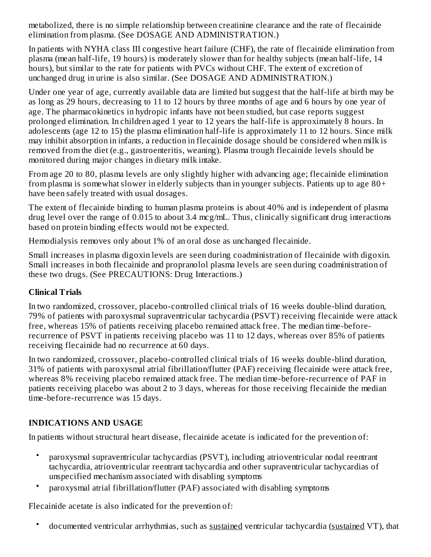metabolized, there is no simple relationship between creatinine clearance and the rate of flecainide elimination from plasma. (See DOSAGE AND ADMINISTRATION.)

In patients with NYHA class III congestive heart failure (CHF), the rate of flecainide elimination from plasma (mean half-life, 19 hours) is moderately slower than for healthy subjects (mean half-life, 14 hours), but similar to the rate for patients with PVCs without CHF. The extent of excretion of unchanged drug in urine is also similar. (See DOSAGE AND ADMINISTRATION.)

Under one year of age, currently available data are limited but suggest that the half-life at birth may be as long as 29 hours, decreasing to 11 to 12 hours by three months of age and 6 hours by one year of age. The pharmacokinetics in hydropic infants have not been studied, but case reports suggest prolonged elimination. In children aged 1 year to 12 years the half-life is approximately 8 hours. In adolescents (age 12 to 15) the plasma elimination half-life is approximately 11 to 12 hours. Since milk may inhibit absorption in infants, a reduction in flecainide dosage should be considered when milk is removed from the diet (e.g., gastroenteritis, weaning). Plasma trough flecainide levels should be monitored during major changes in dietary milk intake.

From age 20 to 80, plasma levels are only slightly higher with advancing age; flecainide elimination from plasma is somewhat slower in elderly subjects than in younger subjects. Patients up to age 80+ have been safely treated with usual dosages.

The extent of flecainide binding to human plasma proteins is about 40% and is independent of plasma drug level over the range of 0.015 to about 3.4 mcg/mL. Thus, clinically significant drug interactions based on protein binding effects would not be expected.

Hemodialysis removes only about 1% of an oral dose as unchanged flecainide.

Small increases in plasma digoxin levels are seen during coadministration of flecainide with digoxin. Small increases in both flecainide and propranolol plasma levels are seen during coadministration of these two drugs. (See PRECAUTIONS: Drug Interactions.)

# **Clinical Trials**

In two randomized, crossover, placebo-controlled clinical trials of 16 weeks double-blind duration, 79% of patients with paroxysmal supraventricular tachycardia (PSVT) receiving flecainide were attack free, whereas 15% of patients receiving placebo remained attack free. The median time-beforerecurrence of PSVT in patients receiving placebo was 11 to 12 days, whereas over 85% of patients receiving flecainide had no recurrence at 60 days.

In two randomized, crossover, placebo-controlled clinical trials of 16 weeks double-blind duration, 31% of patients with paroxysmal atrial fibrillation/flutter (PAF) receiving flecainide were attack free, whereas 8% receiving placebo remained attack free. The median time-before-recurrence of PAF in patients receiving placebo was about 2 to 3 days, whereas for those receiving flecainide the median time-before-recurrence was 15 days.

# **INDICATIONS AND USAGE**

In patients without structural heart disease, flecainide acetate is indicated for the prevention of:

- paroxysmal supraventricular tachycardias (PSVT), including atrioventricular nodal reentrant tachycardia, atrioventricular reentrant tachycardia and other supraventricular tachycardias of unspecified mechanism associated with disabling symptoms
- paroxysmal atrial fibrillation/flutter (PAF) associated with disabling symptoms

Flecainide acetate is also indicated for the prevention of:

• documented ventricular arrhythmias, such as sustained ventricular tachycardia (sustained VT), that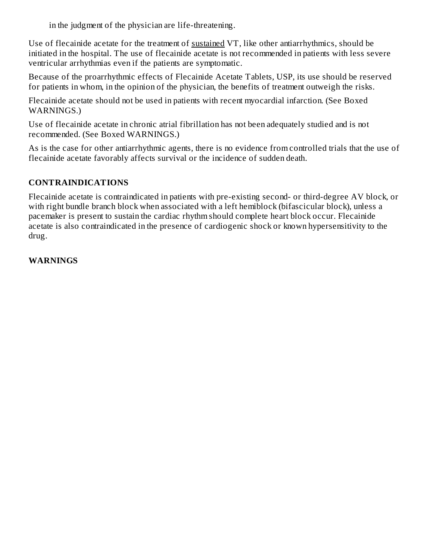in the judgment of the physician are life-threatening.

Use of flecainide acetate for the treatment of sustained VT, like other antiarrhythmics, should be initiated in the hospital. The use of flecainide acetate is not recommended in patients with less severe ventricular arrhythmias even if the patients are symptomatic.

Because of the proarrhythmic effects of Flecainide Acetate Tablets, USP, its use should be reserved for patients in whom, in the opinion of the physician, the benefits of treatment outweigh the risks.

Flecainide acetate should not be used in patients with recent myocardial infarction. (See Boxed WARNINGS.)

Use of flecainide acetate in chronic atrial fibrillation has not been adequately studied and is not recommended. (See Boxed WARNINGS.)

As is the case for other antiarrhythmic agents, there is no evidence from controlled trials that the use of flecainide acetate favorably affects survival or the incidence of sudden death.

# **CONTRAINDICATIONS**

Flecainide acetate is contraindicated in patients with pre-existing second- or third-degree AV block, or with right bundle branch block when associated with a left hemiblock (bifascicular block), unless a pacemaker is present to sustain the cardiac rhythm should complete heart block occur. Flecainide acetate is also contraindicated in the presence of cardiogenic shock or known hypersensitivity to the drug.

#### **WARNINGS**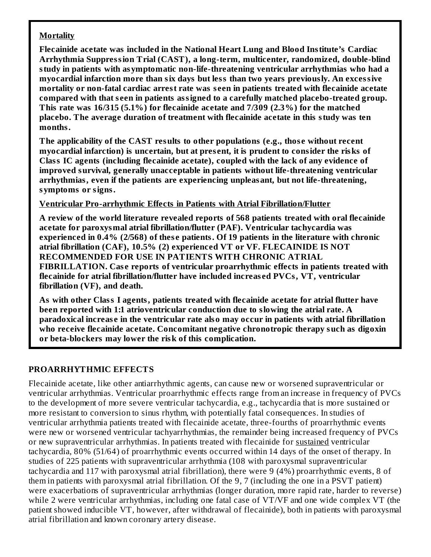#### **Mortality**

**Flecainide acetate was included in the National Heart Lung and Blood Institute's Cardiac Arrhythmia Suppression Trial (CAST), a long-term, multicenter, randomized, double-blind study in patients with asymptomatic non-life-threatening ventricular arrhythmias who had a myocardial infarction more than six days but less than two years previously. An excessive mortality or non-fatal cardiac arrest rate was s een in patients treated with flecainide acetate compared with that s een in patients assigned to a carefully matched placebo-treated group. This rate was 16/315 (5.1%) for flecainide acetate and 7/309 (2.3%) for the matched placebo. The average duration of treatment with flecainide acetate in this study was ten months.**

**The applicability of the CAST results to other populations (e.g., thos e without recent myocardial infarction) is uncertain, but at pres ent, it is prudent to consider the risks of Class IC agents (including flecainide acetate), coupled with the lack of any evidence of improved survival, generally unacceptable in patients without life-threatening ventricular arrhythmias, even if the patients are experiencing unpleasant, but not life-threatening, symptoms or signs.**

#### **Ventricular Pro-arrhythmic Effects in Patients with Atrial Fibrillation/Flutter**

**A review of the world literature revealed reports of 568 patients treated with oral flecainide acetate for paroxysmal atrial fibrillation/flutter (PAF). Ventricular tachycardia was experienced in 0.4% (2/568) of thes e patients. Of 19 patients in the literature with chronic atrial fibrillation (CAF), 10.5% (2) experienced VT or VF. FLECAINIDE IS NOT RECOMMENDED FOR USE IN PATIENTS WITH CHRONIC ATRIAL FIBRILLATION. Cas e reports of ventricular proarrhythmic effects in patients treated with flecainide for atrial fibrillation/flutter have included increas ed PVCs, VT, ventricular fibrillation (VF), and death.**

**As with other Class I agents, patients treated with flecainide acetate for atrial flutter have been reported with 1:1 atrioventricular conduction due to slowing the atrial rate. A paradoxical increas e in the ventricular rate also may occur in patients with atrial fibrillation who receive flecainide acetate. Concomitant negative chronotropic therapy such as digoxin or beta-blockers may lower the risk of this complication.**

# **PROARRHYTHMIC EFFECTS**

Flecainide acetate, like other antiarrhythmic agents, can cause new or worsened supraventricular or ventricular arrhythmias. Ventricular proarrhythmic effects range from an increase in frequency of PVCs to the development of more severe ventricular tachycardia, e.g., tachycardia that is more sustained or more resistant to conversion to sinus rhythm, with potentially fatal consequences. In studies of ventricular arrhythmia patients treated with flecainide acetate, three-fourths of proarrhythmic events were new or worsened ventricular tachyarrhythmias, the remainder being increased frequency of PVCs or new supraventricular arrhythmias. In patients treated with flecainide for sustained ventricular tachycardia, 80% (51/64) of proarrhythmic events occurred within 14 days of the onset of therapy. In studies of 225 patients with supraventricular arrhythmia (108 with paroxysmal supraventricular tachycardia and 117 with paroxysmal atrial fibrillation), there were 9 (4%) proarrhythmic events, 8 of them in patients with paroxysmal atrial fibrillation. Of the 9, 7 (including the one in a PSVT patient) were exacerbations of supraventricular arrhythmias (longer duration, more rapid rate, harder to reverse) while 2 were ventricular arrhythmias, including one fatal case of VT/VF and one wide complex VT (the patient showed inducible VT, however, after withdrawal of flecainide), both in patients with paroxysmal atrial fibrillation and known coronary artery disease.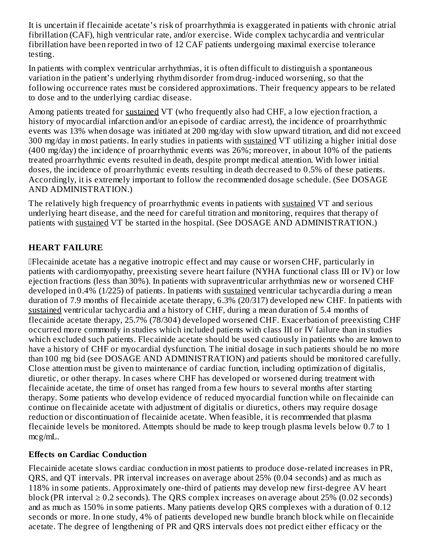It is uncertain if flecainide acetate's risk of proarrhythmia is exaggerated in patients with chronic atrial fibrillation (CAF), high ventricular rate, and/or exercise. Wide complex tachycardia and ventricular fibrillation have been reported in two of 12 CAF patients undergoing maximal exercise tolerance testing.

In patients with complex ventricular arrhythmias, it is often difficult to distinguish a spontaneous variation in the patient's underlying rhythm disorder from drug-induced worsening, so that the following occurrence rates must be considered approximations. Their frequency appears to be related to dose and to the underlying cardiac disease.

Among patients treated for sustained VT (who frequently also had CHF, a low ejection fraction, a history of myocardial infarction and/or an episode of cardiac arrest), the incidence of proarrhythmic events was 13% when dosage was initiated at 200 mg/day with slow upward titration, and did not exceed 300 mg/day in most patients. In early studies in patients with sustained VT utilizing a higher initial dose (400 mg/day) the incidence of proarrhythmic events was 26%; moreover, in about 10% of the patients treated proarrhythmic events resulted in death, despite prompt medical attention. With lower initial doses, the incidence of proarrhythmic events resulting in death decreased to 0.5% of these patients. Accordingly, it is extremely important to follow the recommended dosage schedule. (See DOSAGE AND ADMINISTRATION.)

The relatively high frequency of proarrhythmic events in patients with sustained VT and serious underlying heart disease, and the need for careful titration and monitoring, requires that therapy of patients with sustained VT be started in the hospital. (See DOSAGE AND ADMINISTRATION.)

# **HEART FAILURE**

Flecainide acetate has a negative inotropic effect and may cause or worsen CHF, particularly in patients with cardiomyopathy, preexisting severe heart failure (NYHA functional class III or IV) or low ejection fractions (less than 30%). In patients with supraventricular arrhythmias new or worsened CHF developed in 0.4% (1/225) of patients. In patients with sustained ventricular tachycardia during a mean duration of 7.9 months of flecainide acetate therapy, 6.3% (20/317) developed new CHF. In patients with sustained ventricular tachycardia and a history of CHF, during a mean duration of 5.4 months of flecainide acetate therapy, 25.7% (78/304) developed worsened CHF. Exacerbation of preexisting CHF occurred more commonly in studies which included patients with class III or IV failure than in studies which excluded such patients. Flecainide acetate should be used cautiously in patients who are known to have a history of CHF or myocardial dysfunction. The initial dosage in such patients should be no more than 100 mg bid (see DOSAGE AND ADMINISTRATION) and patients should be monitored carefully. Close attention must be given to maintenance of cardiac function, including optimization of digitalis, diuretic, or other therapy. In cases where CHF has developed or worsened during treatment with flecainide acetate, the time of onset has ranged from a few hours to several months after starting therapy. Some patients who develop evidence of reduced myocardial function while on flecainide can continue on flecainide acetate with adjustment of digitalis or diuretics, others may require dosage reduction or discontinuation of flecainide acetate. When feasible, it is recommended that plasma flecainide levels be monitored. Attempts should be made to keep trough plasma levels below 0.7 to 1 mcg/mL.

# **Effects on Cardiac Conduction**

Flecainide acetate slows cardiac conduction in most patients to produce dose-related increases in PR, QRS, and QT intervals. PR interval increases on average about 25% (0.04 seconds) and as much as 118% in some patients. Approximately one-third of patients may develop new first-degree AV heart block (PR interval  $\geq 0.2$  seconds). The QRS complex increases on average about 25% (0.02 seconds) and as much as 150% in some patients. Many patients develop QRS complexes with a duration of 0.12 seconds or more. In one study, 4% of patients developed new bundle branch block while on flecainide acetate. The degree of lengthening of PR and QRS intervals does not predict either efficacy or the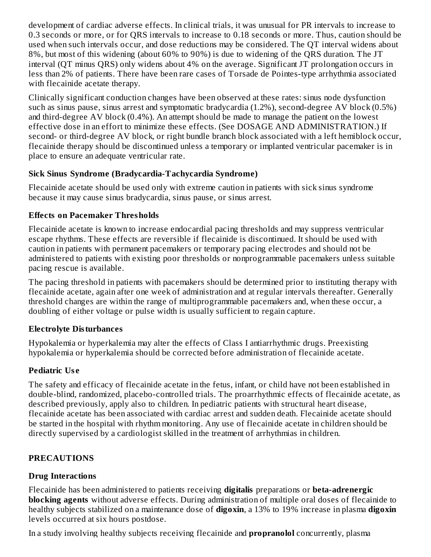development of cardiac adverse effects. In clinical trials, it was unusual for PR intervals to increase to 0.3 seconds or more, or for QRS intervals to increase to 0.18 seconds or more. Thus, caution should be used when such intervals occur, and dose reductions may be considered. The QT interval widens about 8%, but most of this widening (about 60% to 90%) is due to widening of the QRS duration. The JT interval (QT minus QRS) only widens about 4% on the average. Significant JT prolongation occurs in less than 2% of patients. There have been rare cases of Torsade de Pointes-type arrhythmia associated with flecainide acetate therapy.

Clinically significant conduction changes have been observed at these rates: sinus node dysfunction such as sinus pause, sinus arrest and symptomatic bradycardia (1.2%), second-degree AV block (0.5%) and third-degree AV block (0.4%). An attempt should be made to manage the patient on the lowest effective dose in an effort to minimize these effects. (See DOSAGE AND ADMINISTRATION.) If second- or third-degree AV block, or right bundle branch block associated with a left hemiblock occur, flecainide therapy should be discontinued unless a temporary or implanted ventricular pacemaker is in place to ensure an adequate ventricular rate.

#### **Sick Sinus Syndrome (Bradycardia-Tachycardia Syndrome)**

Flecainide acetate should be used only with extreme caution in patients with sick sinus syndrome because it may cause sinus bradycardia, sinus pause, or sinus arrest.

# **Effects on Pacemaker Thresholds**

Flecainide acetate is known to increase endocardial pacing thresholds and may suppress ventricular escape rhythms. These effects are reversible if flecainide is discontinued. It should be used with caution in patients with permanent pacemakers or temporary pacing electrodes and should not be administered to patients with existing poor thresholds or nonprogrammable pacemakers unless suitable pacing rescue is available.

The pacing threshold in patients with pacemakers should be determined prior to instituting therapy with flecainide acetate, again after one week of administration and at regular intervals thereafter. Generally threshold changes are within the range of multiprogrammable pacemakers and, when these occur, a doubling of either voltage or pulse width is usually sufficient to regain capture.

#### **Electrolyte Disturbances**

Hypokalemia or hyperkalemia may alter the effects of Class I antiarrhythmic drugs. Preexisting hypokalemia or hyperkalemia should be corrected before administration of flecainide acetate.

# **Pediatric Us e**

The safety and efficacy of flecainide acetate in the fetus, infant, or child have not been established in double-blind, randomized, placebo-controlled trials. The proarrhythmic effects of flecainide acetate, as described previously, apply also to children. In pediatric patients with structural heart disease, flecainide acetate has been associated with cardiac arrest and sudden death. Flecainide acetate should be started in the hospital with rhythm monitoring. Any use of flecainide acetate in children should be directly supervised by a cardiologist skilled in the treatment of arrhythmias in children.

# **PRECAUTIONS**

# **Drug Interactions**

Flecainide has been administered to patients receiving **digitalis** preparations or **beta-adrenergic blocking agents** without adverse effects. During administration of multiple oral doses of flecainide to healthy subjects stabilized on a maintenance dose of **digoxin**, a 13% to 19% increase in plasma **digoxin** levels occurred at six hours postdose.

In a study involving healthy subjects receiving flecainide and **propranolol** concurrently, plasma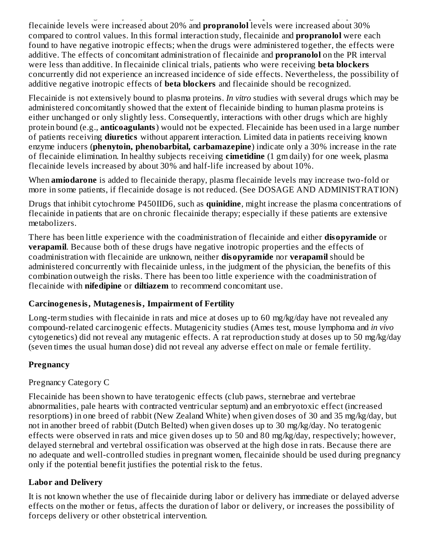In a study involving healthy subjects receiving flecainide and **propranolol** concurrently, plasma flecainide levels were increased about 20% and **propranolol** levels were increased about 30% compared to control values. In this formal interaction study, flecainide and **propranolol** were each found to have negative inotropic effects; when the drugs were administered together, the effects were additive. The effects of concomitant administration of flecainide and **propranolol** on the PR interval were less than additive. In flecainide clinical trials, patients who were receiving **beta blockers** concurrently did not experience an increased incidence of side effects. Nevertheless, the possibility of additive negative inotropic effects of **beta blockers** and flecainide should be recognized.

Flecainide is not extensively bound to plasma proteins. *In vitro* studies with several drugs which may be administered concomitantly showed that the extent of flecainide binding to human plasma proteins is either unchanged or only slightly less. Consequently, interactions with other drugs which are highly protein bound (e.g., **anticoagulants**) would not be expected. Flecainide has been used in a large number of patients receiving **diuretics** without apparent interaction. Limited data in patients receiving known enzyme inducers (**phenytoin, phenobarbital, carbamazepine**) indicate only a 30% increase in the rate of flecainide elimination. In healthy subjects receiving **cimetidine** (1 gm daily) for one week, plasma flecainide levels increased by about 30% and half-life increased by about 10%.

When **amiodarone** is added to flecainide therapy, plasma flecainide levels may increase two-fold or more in some patients, if flecainide dosage is not reduced. (See DOSAGE AND ADMINISTRATION)

Drugs that inhibit cytochrome P450IID6, such as **quinidine**, might increase the plasma concentrations of flecainide in patients that are on chronic flecainide therapy; especially if these patients are extensive metabolizers.

There has been little experience with the coadministration of flecainide and either **disopyramide** or **verapamil**. Because both of these drugs have negative inotropic properties and the effects of coadministration with flecainide are unknown, neither **disopyramide** nor **verapamil** should be administered concurrently with flecainide unless, in the judgment of the physician, the benefits of this combination outweigh the risks. There has been too little experience with the coadministration of flecainide with **nifedipine** or **diltiazem** to recommend concomitant use.

# **Carcinogenesis, Mutagenesis, Impairment of Fertility**

Long-term studies with flecainide in rats and mice at doses up to 60 mg/kg/day have not revealed any compound-related carcinogenic effects. Mutagenicity studies (Ames test, mouse lymphoma and *in vivo* cytogenetics) did not reveal any mutagenic effects. A rat reproduction study at doses up to 50 mg/kg/day (seven times the usual human dose) did not reveal any adverse effect on male or female fertility.

# **Pregnancy**

# Pregnancy Category C

Flecainide has been shown to have teratogenic effects (club paws, sternebrae and vertebrae abnormalities, pale hearts with contracted ventricular septum) and an embryotoxic effect (increased resorptions) in one breed of rabbit (New Zealand White) when given doses of 30 and 35 mg/kg/day, but not in another breed of rabbit (Dutch Belted) when given doses up to 30 mg/kg/day. No teratogenic effects were observed in rats and mice given doses up to 50 and 80 mg/kg/day, respectively; however, delayed sternebral and vertebral ossification was observed at the high dose in rats. Because there are no adequate and well-controlled studies in pregnant women, flecainide should be used during pregnancy only if the potential benefit justifies the potential risk to the fetus.

# **Labor and Delivery**

It is not known whether the use of flecainide during labor or delivery has immediate or delayed adverse effects on the mother or fetus, affects the duration of labor or delivery, or increases the possibility of forceps delivery or other obstetrical intervention.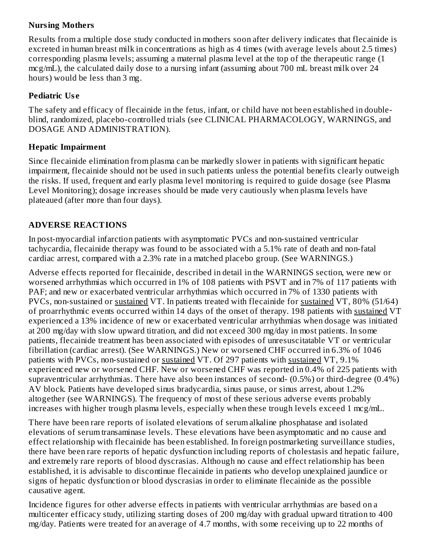# **Nursing Mothers**

Results from a multiple dose study conducted in mothers soon after delivery indicates that flecainide is excreted in human breast milk in concentrations as high as 4 times (with average levels about 2.5 times) corresponding plasma levels; assuming a maternal plasma level at the top of the therapeutic range (1 mcg/mL), the calculated daily dose to a nursing infant (assuming about 700 mL breast milk over 24 hours) would be less than 3 mg.

### **Pediatric Us e**

The safety and efficacy of flecainide in the fetus, infant, or child have not been established in doubleblind, randomized, placebo-controlled trials (see CLINICAL PHARMACOLOGY, WARNINGS, and DOSAGE AND ADMINISTRATION).

#### **Hepatic Impairment**

Since flecainide elimination from plasma can be markedly slower in patients with significant hepatic impairment, flecainide should not be used in such patients unless the potential benefits clearly outweigh the risks. If used, frequent and early plasma level monitoring is required to guide dosage (see Plasma Level Monitoring); dosage increases should be made very cautiously when plasma levels have plateaued (after more than four days).

#### **ADVERSE REACTIONS**

In post-myocardial infarction patients with asymptomatic PVCs and non-sustained ventricular tachycardia, flecainide therapy was found to be associated with a 5.1% rate of death and non-fatal cardiac arrest, compared with a 2.3% rate in a matched placebo group. (See WARNINGS.)

Adverse effects reported for flecainide, described in detail in the WARNINGS section, were new or worsened arrhythmias which occurred in 1% of 108 patients with PSVT and in 7% of 117 patients with PAF; and new or exacerbated ventricular arrhythmias which occurred in 7% of 1330 patients with PVCs, non-sustained or sustained VT. In patients treated with flecainide for sustained VT, 80% (51/64) of proarrhythmic events occurred within 14 days of the onset of therapy. 198 patients with sustained VT experienced a 13% incidence of new or exacerbated ventricular arrhythmias when dosage was initiated at 200 mg/day with slow upward titration, and did not exceed 300 mg/day in most patients. In some patients, flecainide treatment has been associated with episodes of unresuscitatable VT or ventricular fibrillation (cardiac arrest). (See WARNINGS.) New or worsened CHF occurred in 6.3% of 1046 patients with PVCs, non-sustained or sustained VT. Of 297 patients with sustained VT, 9.1% experienced new or worsened CHF. New or worsened CHF was reported in 0.4% of 225 patients with supraventricular arrhythmias. There have also been instances of second- (0.5%) or third-degree (0.4%) AV block. Patients have developed sinus bradycardia, sinus pause, or sinus arrest, about 1.2% altogether (see WARNINGS). The frequency of most of these serious adverse events probably increases with higher trough plasma levels, especially when these trough levels exceed 1 mcg/mL.

There have been rare reports of isolated elevations of serum alkaline phosphatase and isolated elevations of serum transaminase levels. These elevations have been asymptomatic and no cause and effect relationship with flecainide has been established. In foreign postmarketing surveillance studies, there have been rare reports of hepatic dysfunction including reports of cholestasis and hepatic failure, and extremely rare reports of blood dyscrasias. Although no cause and effect relationship has been established, it is advisable to discontinue flecainide in patients who develop unexplained jaundice or signs of hepatic dysfunction or blood dyscrasias in order to eliminate flecainide as the possible causative agent.

Incidence figures for other adverse effects in patients with ventricular arrhythmias are based on a multicenter efficacy study, utilizing starting doses of 200 mg/day with gradual upward titration to 400 mg/day. Patients were treated for an average of 4.7 months, with some receiving up to 22 months of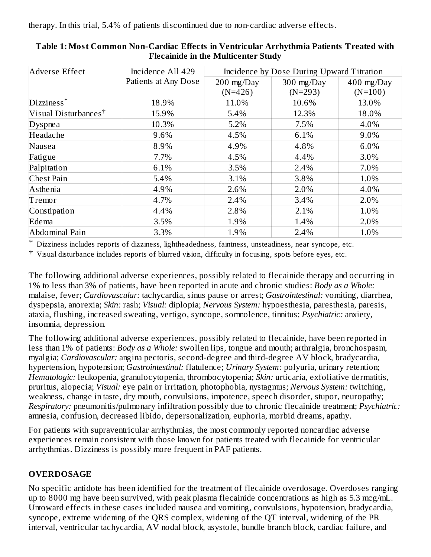therapy. In this trial, 5.4% of patients discontinued due to non-cardiac adverse effects.

| Adverse Effect                   | Incidence All 429    | Incidence by Dose During Upward Titration |                         |                           |  |  |
|----------------------------------|----------------------|-------------------------------------------|-------------------------|---------------------------|--|--|
|                                  | Patients at Any Dose | $200 \text{ mg}/\text{Day}$<br>$(N=426)$  | 300 mg/Day<br>$(N=293)$ | $400$ mg/Day<br>$(N=100)$ |  |  |
| Dizziness*                       | 18.9%                | 11.0%                                     | 10.6%                   | 13.0%                     |  |  |
| Visual Disturbances <sup>†</sup> | 15.9%                | 5.4%                                      | 12.3%                   | 18.0%                     |  |  |
| Dyspnea                          | 10.3%                | 5.2%                                      | 7.5%                    | 4.0%                      |  |  |
| Headache                         | 9.6%                 | 4.5%                                      | 6.1%                    | 9.0%                      |  |  |
| Nausea                           | 8.9%                 | 4.9%                                      | 4.8%                    | 6.0%                      |  |  |
| Fatigue                          | 7.7%                 | 4.5%                                      | 4.4%                    | 3.0%                      |  |  |
| Palpitation                      | 6.1%                 | 3.5%                                      | 2.4%                    | 7.0%                      |  |  |
| <b>Chest Pain</b>                | 5.4%                 | 3.1%                                      | 3.8%                    | 1.0%                      |  |  |
| Asthenia                         | 4.9%                 | 2.6%                                      | 2.0%                    | 4.0%                      |  |  |
| Tremor                           | 4.7%                 | 2.4%                                      | 3.4%                    | 2.0%                      |  |  |
| Constipation                     | 4.4%                 | 2.8%                                      | 2.1%                    | 1.0%                      |  |  |
| Edema                            | 3.5%                 | 1.9%                                      | 1.4%                    | 2.0%                      |  |  |
| Abdominal Pain                   | 3.3%                 | 1.9%                                      | 2.4%                    | 1.0%                      |  |  |

#### **Table 1: Most Common Non-Cardiac Effects in Ventricular Arrhythmia Patients Treated with Flecainide in the Multicenter Study**

\* Dizziness includes reports of dizziness, lightheadedness, faintness, unsteadiness, near syncope, etc.

† Visual disturbance includes reports of blurred vision, difficulty in focusing, spots before eyes, etc.

The following additional adverse experiences, possibly related to flecainide therapy and occurring in 1% to less than 3% of patients, have been reported in acute and chronic studies: *Body as a Whole:* malaise, fever; *Cardiovascular:* tachycardia, sinus pause or arrest; *Gastrointestinal:* vomiting, diarrhea, dyspepsia, anorexia; *Skin:* rash; *Visual:* diplopia; *Nervous System:* hypoesthesia, paresthesia, paresis, ataxia, flushing, increased sweating, vertigo, syncope, somnolence, tinnitus; *Psychiatric:* anxiety, insomnia, depression.

The following additional adverse experiences, possibly related to flecainide, have been reported in less than 1% of patients: *Body as a Whole:* swollen lips, tongue and mouth; arthralgia, bronchospasm, myalgia; *Cardiovascular:* angina pectoris, second-degree and third-degree AV block, bradycardia, hypertension, hypotension; *Gastrointestinal:* flatulence; *Urinary System:* polyuria, urinary retention; *Hematologic:* leukopenia, granulocytopenia, thrombocytopenia; *Skin:* urticaria, exfoliative dermatitis, pruritus, alopecia; *Visual:* eye pain or irritation, photophobia, nystagmus; *Nervous System:* twitching, weakness, change in taste, dry mouth, convulsions, impotence, speech disorder, stupor, neuropathy; *Respiratory:* pneumonitis/pulmonary infiltration possibly due to chronic flecainide treatment; *Psychiatric:* amnesia, confusion, decreased libido, depersonalization, euphoria, morbid dreams, apathy.

For patients with supraventricular arrhythmias, the most commonly reported noncardiac adverse experiences remain consistent with those known for patients treated with flecainide for ventricular arrhythmias. Dizziness is possibly more frequent in PAF patients.

# **OVERDOSAGE**

No specific antidote has been identified for the treatment of flecainide overdosage. Overdoses ranging up to 8000 mg have been survived, with peak plasma flecainide concentrations as high as 5.3 mcg/mL. Untoward effects in these cases included nausea and vomiting, convulsions, hypotension, bradycardia, syncope, extreme widening of the QRS complex, widening of the QT interval, widening of the PR interval, ventricular tachycardia, AV nodal block, asystole, bundle branch block, cardiac failure, and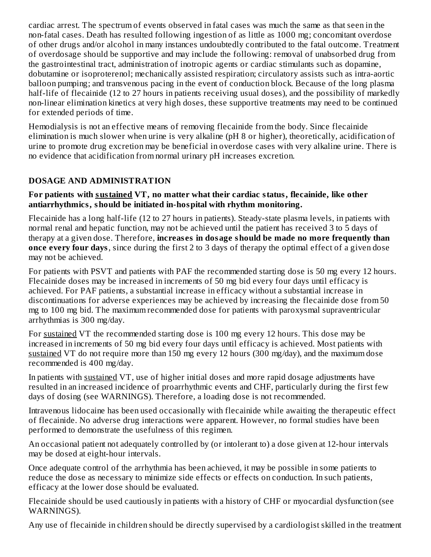cardiac arrest. The spectrum of events observed in fatal cases was much the same as that seen in the non-fatal cases. Death has resulted following ingestion of as little as 1000 mg; concomitant overdose of other drugs and/or alcohol in many instances undoubtedly contributed to the fatal outcome. Treatment of overdosage should be supportive and may include the following: removal of unabsorbed drug from the gastrointestinal tract, administration of inotropic agents or cardiac stimulants such as dopamine, dobutamine or isoproterenol; mechanically assisted respiration; circulatory assists such as intra-aortic balloon pumping; and transvenous pacing in the event of conduction block. Because of the long plasma half-life of flecainide (12 to 27 hours in patients receiving usual doses), and the possibility of markedly non-linear elimination kinetics at very high doses, these supportive treatments may need to be continued for extended periods of time.

Hemodialysis is not an effective means of removing flecainide from the body. Since flecainide elimination is much slower when urine is very alkaline (pH 8 or higher), theoretically, acidification of urine to promote drug excretion may be beneficial in overdose cases with very alkaline urine. There is no evidence that acidification from normal urinary pH increases excretion.

# **DOSAGE AND ADMINISTRATION**

#### **For patients with sustained VT, no matter what their cardiac status, flecainide, like other antiarrhythmics, should be initiated in-hospital with rhythm monitoring.**

Flecainide has a long half-life (12 to 27 hours in patients). Steady-state plasma levels, in patients with normal renal and hepatic function, may not be achieved until the patient has received 3 to 5 days of therapy at a given dose. Therefore, **increas es in dosage should be made no more frequently than once every four days**, since during the first 2 to 3 days of therapy the optimal effect of a given dose may not be achieved.

For patients with PSVT and patients with PAF the recommended starting dose is 50 mg every 12 hours. Flecainide doses may be increased in increments of 50 mg bid every four days until efficacy is achieved. For PAF patients, a substantial increase in efficacy without a substantial increase in discontinuations for adverse experiences may be achieved by increasing the flecainide dose from 50 mg to 100 mg bid. The maximum recommended dose for patients with paroxysmal supraventricular arrhythmias is 300 mg/day.

For sustained VT the recommended starting dose is 100 mg every 12 hours. This dose may be increased in increments of 50 mg bid every four days until efficacy is achieved. Most patients with sustained VT do not require more than 150 mg every 12 hours (300 mg/day), and the maximum dose recommended is 400 mg/day.

In patients with sustained VT, use of higher initial doses and more rapid dosage adjustments have resulted in an increased incidence of proarrhythmic events and CHF, particularly during the first few days of dosing (see WARNINGS). Therefore, a loading dose is not recommended.

Intravenous lidocaine has been used occasionally with flecainide while awaiting the therapeutic effect of flecainide. No adverse drug interactions were apparent. However, no formal studies have been performed to demonstrate the usefulness of this regimen.

An occasional patient not adequately controlled by (or intolerant to) a dose given at 12-hour intervals may be dosed at eight-hour intervals.

Once adequate control of the arrhythmia has been achieved, it may be possible in some patients to reduce the dose as necessary to minimize side effects or effects on conduction. In such patients, efficacy at the lower dose should be evaluated.

Flecainide should be used cautiously in patients with a history of CHF or myocardial dysfunction (see WARNINGS).

Any use of flecainide in children should be directly supervised by a cardiologist skilled in the treatment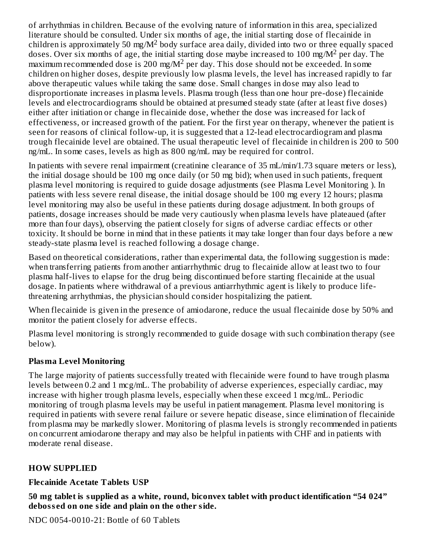of arrhythmias in children. Because of the evolving nature of information in this area, specialized literature should be consulted. Under six months of age, the initial starting dose of flecainide in children is approximately 50 mg/ $M^2$  body surface area daily, divided into two or three equally spaced doses. Over six months of age, the initial starting dose maybe increased to 100 mg/ $M^2$  per day. The  $maximum$  recommended dose is 200 mg/M<sup>2</sup> per day. This dose should not be exceeded. In some children on higher doses, despite previously low plasma levels, the level has increased rapidly to far above therapeutic values while taking the same dose. Small changes in dose may also lead to disproportionate increases in plasma levels. Plasma trough (less than one hour pre-dose) flecainide levels and electrocardiograms should be obtained at presumed steady state (after at least five doses) either after initiation or change in flecainide dose, whether the dose was increased for lack of effectiveness, or increased growth of the patient. For the first year on therapy, whenever the patient is seen for reasons of clinical follow-up, it is suggested that a 12-lead electrocardiogram and plasma trough flecainide level are obtained. The usual therapeutic level of flecainide in children is 200 to 500 ng/mL. In some cases, levels as high as 800 ng/mL may be required for control.

In patients with severe renal impairment (creatinine clearance of 35 mL/min/1.73 square meters or less), the initial dosage should be 100 mg once daily (or 50 mg bid); when used in such patients, frequent plasma level monitoring is required to guide dosage adjustments (see Plasma Level Monitoring ). In patients with less severe renal disease, the initial dosage should be 100 mg every 12 hours; plasma level monitoring may also be useful in these patients during dosage adjustment. In both groups of patients, dosage increases should be made very cautiously when plasma levels have plateaued (after more than four days), observing the patient closely for signs of adverse cardiac effects or other toxicity. It should be borne in mind that in these patients it may take longer than four days before a new steady-state plasma level is reached following a dosage change.

Based on theoretical considerations, rather than experimental data, the following suggestion is made: when transferring patients from another antiarrhythmic drug to flecainide allow at least two to four plasma half-lives to elapse for the drug being discontinued before starting flecainide at the usual dosage. In patients where withdrawal of a previous antiarrhythmic agent is likely to produce lifethreatening arrhythmias, the physician should consider hospitalizing the patient.

When flecainide is given in the presence of amiodarone, reduce the usual flecainide dose by 50% and monitor the patient closely for adverse effects.

Plasma level monitoring is strongly recommended to guide dosage with such combination therapy (see below).

# **Plasma Level Monitoring**

The large majority of patients successfully treated with flecainide were found to have trough plasma levels between 0.2 and 1 mcg/mL. The probability of adverse experiences, especially cardiac, may increase with higher trough plasma levels, especially when these exceed 1 mcg/mL. Periodic monitoring of trough plasma levels may be useful in patient management. Plasma level monitoring is required in patients with severe renal failure or severe hepatic disease, since elimination of flecainide from plasma may be markedly slower. Monitoring of plasma levels is strongly recommended in patients on concurrent amiodarone therapy and may also be helpful in patients with CHF and in patients with moderate renal disease.

# **HOW SUPPLIED**

#### **Flecainide Acetate Tablets USP**

**50 mg tablet is supplied as a white, round, biconvex tablet with product identification "54 024" deboss ed on one side and plain on the other side.**

NDC 0054-0010-21: Bottle of 60 Tablets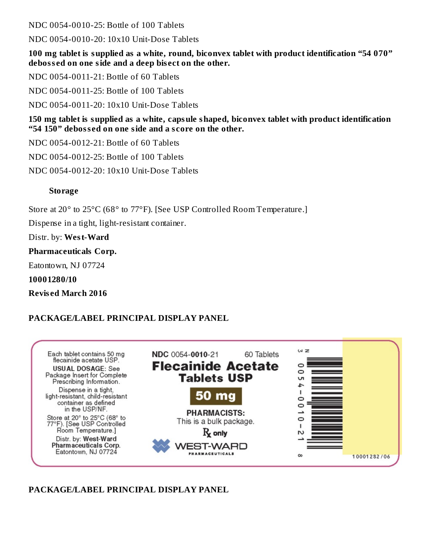NDC 0054-0010-25: Bottle of 100 Tablets

NDC 0054-0010-20: 10x10 Unit-Dose Tablets

**100 mg tablet is supplied as a white, round, biconvex tablet with product identification "54 070" deboss ed on one side and a deep bis ect on the other.**

NDC 0054-0011-21: Bottle of 60 Tablets

NDC 0054-0011-25: Bottle of 100 Tablets

NDC 0054-0011-20: 10x10 Unit-Dose Tablets

**150 mg tablet is supplied as a white, capsule shaped, biconvex tablet with product identification "54 150" deboss ed on one side and a s core on the other.**

NDC 0054-0012-21: Bottle of 60 Tablets

NDC 0054-0012-25: Bottle of 100 Tablets

NDC 0054-0012-20: 10x10 Unit-Dose Tablets

#### **Storage**

Store at 20° to 25°C (68° to 77°F). [See USP Controlled Room Temperature.]

Dispense in a tight, light-resistant container.

Distr. by: **West-Ward**

**Pharmaceuticals Corp.**

Eatontown, NJ 07724

**10001280/10**

**Revis ed March 2016**

#### **PACKAGE/LABEL PRINCIPAL DISPLAY PANEL**



#### **PACKAGE/LABEL PRINCIPAL DISPLAY PANEL**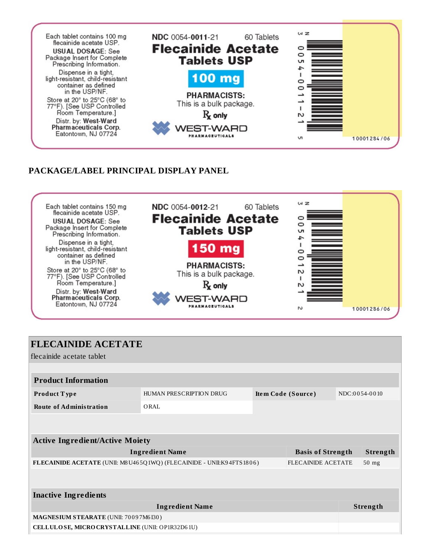

#### **PACKAGE/LABEL PRINCIPAL DISPLAY PANEL**



| <b>FLECAINIDE ACETATE</b>                                                                          |                         |  |                    |  |               |
|----------------------------------------------------------------------------------------------------|-------------------------|--|--------------------|--|---------------|
|                                                                                                    |                         |  |                    |  |               |
| l flecainide acetate tablet                                                                        |                         |  |                    |  |               |
|                                                                                                    |                         |  |                    |  |               |
| <b>Product Information</b>                                                                         |                         |  |                    |  |               |
| Product Type                                                                                       | HUMAN PRESCRIPTION DRUG |  | Item Code (Source) |  | NDC:0054-0010 |
| <b>Route of Administration</b>                                                                     | ORAL                    |  |                    |  |               |
|                                                                                                    |                         |  |                    |  |               |
|                                                                                                    |                         |  |                    |  |               |
| <b>Active Ingredient/Active Moiety</b>                                                             |                         |  |                    |  |               |
| <b>Ingredient Name</b><br><b>Basis of Strength</b>                                                 |                         |  |                    |  | Strength      |
| FLECAINIDE ACETATE (UNII: M8 U465Q1WQ) (FLECAINIDE - UNII:K94FTS1806)<br><b>FLECAINIDE ACETATE</b> |                         |  |                    |  | $50$ mg       |
|                                                                                                    |                         |  |                    |  |               |
|                                                                                                    |                         |  |                    |  |               |
| <b>Inactive Ingredients</b>                                                                        |                         |  |                    |  |               |
| <b>Ingredient Name</b>                                                                             |                         |  |                    |  | Strength      |
| MAGNESIUM STEARATE (UNII: 70097M6I30)                                                              |                         |  |                    |  |               |
| CELLULOSE, MICRO CRYSTALLINE (UNII: OP1R32D61U)                                                    |                         |  |                    |  |               |
|                                                                                                    |                         |  |                    |  |               |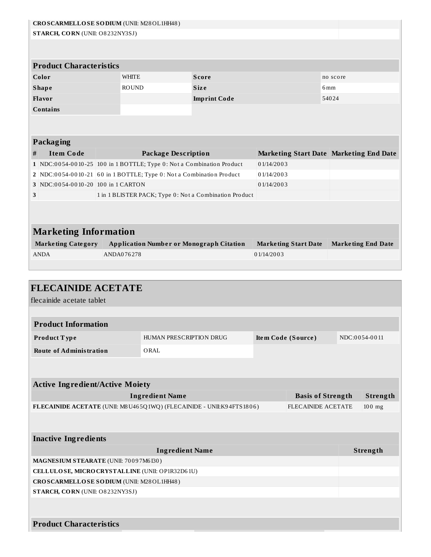|   | CROSCARMELLOSE SODIUM (UNII: M28OL1HH48)                              |  |              |                            |                                                                       |                    |                                         |          |  |                           |
|---|-----------------------------------------------------------------------|--|--------------|----------------------------|-----------------------------------------------------------------------|--------------------|-----------------------------------------|----------|--|---------------------------|
|   | STARCH, CORN (UNII: O8232NY3SJ)                                       |  |              |                            |                                                                       |                    |                                         |          |  |                           |
|   |                                                                       |  |              |                            |                                                                       |                    |                                         |          |  |                           |
|   |                                                                       |  |              |                            |                                                                       |                    |                                         |          |  |                           |
|   | <b>Product Characteristics</b>                                        |  |              |                            |                                                                       |                    |                                         |          |  |                           |
|   | Color                                                                 |  | <b>WHITE</b> |                            | <b>Score</b>                                                          |                    |                                         | no score |  |                           |
|   | <b>Shape</b>                                                          |  | <b>ROUND</b> |                            | <b>Size</b>                                                           |                    |                                         | 6 mm     |  |                           |
|   | Flavor                                                                |  |              |                            | <b>Imprint Code</b>                                                   |                    |                                         | 54024    |  |                           |
|   | Contains                                                              |  |              |                            |                                                                       |                    |                                         |          |  |                           |
|   |                                                                       |  |              |                            |                                                                       |                    |                                         |          |  |                           |
|   |                                                                       |  |              |                            |                                                                       |                    |                                         |          |  |                           |
|   | <b>Packaging</b>                                                      |  |              |                            |                                                                       |                    |                                         |          |  |                           |
| # | <b>Item Code</b>                                                      |  |              | <b>Package Description</b> |                                                                       |                    | Marketing Start Date Marketing End Date |          |  |                           |
|   | 1 NDC:0054-0010-25 100 in 1 BOTTLE; Type 0: Not a Combination Product |  |              |                            |                                                                       | 01/14/2003         |                                         |          |  |                           |
|   | 2 NDC:0054-0010-21 60 in 1 BOTTLE; Type 0: Not a Combination Product  |  |              |                            |                                                                       | 01/14/2003         |                                         |          |  |                           |
|   | 3 NDC:0054-0010-20 100 in 1 CARTON                                    |  |              |                            |                                                                       | 01/14/2003         |                                         |          |  |                           |
| 3 |                                                                       |  |              |                            | 1 in 1 BLISTER PACK; Type 0: Not a Combination Product                |                    |                                         |          |  |                           |
|   |                                                                       |  |              |                            |                                                                       |                    |                                         |          |  |                           |
|   |                                                                       |  |              |                            |                                                                       |                    |                                         |          |  |                           |
|   |                                                                       |  |              |                            |                                                                       |                    |                                         |          |  |                           |
|   | <b>Marketing Information</b>                                          |  |              |                            |                                                                       |                    |                                         |          |  |                           |
|   | <b>Marketing Category</b>                                             |  |              |                            | <b>Application Number or Monograph Citation</b>                       |                    | <b>Marketing Start Date</b>             |          |  | <b>Marketing End Date</b> |
|   | <b>ANDA</b>                                                           |  | ANDA076278   |                            |                                                                       | 01/14/2003         |                                         |          |  |                           |
|   |                                                                       |  |              |                            |                                                                       |                    |                                         |          |  |                           |
|   |                                                                       |  |              |                            |                                                                       |                    |                                         |          |  |                           |
|   |                                                                       |  |              |                            |                                                                       |                    |                                         |          |  |                           |
|   |                                                                       |  |              |                            |                                                                       |                    |                                         |          |  |                           |
|   | <b>FLECAINIDE ACETATE</b>                                             |  |              |                            |                                                                       |                    |                                         |          |  |                           |
|   | flecainide acetate tablet                                             |  |              |                            |                                                                       |                    |                                         |          |  |                           |
|   |                                                                       |  |              |                            |                                                                       |                    |                                         |          |  |                           |
|   | <b>Product Information</b>                                            |  |              |                            |                                                                       |                    |                                         |          |  |                           |
|   | Product Type                                                          |  |              | HUMAN PRESCRIPTION DRUG    |                                                                       | Item Code (Source) |                                         |          |  | NDC:0054-0011             |
|   | <b>Route of Administration</b>                                        |  |              | ORAL                       |                                                                       |                    |                                         |          |  |                           |
|   |                                                                       |  |              |                            |                                                                       |                    |                                         |          |  |                           |
|   |                                                                       |  |              |                            |                                                                       |                    |                                         |          |  |                           |
|   |                                                                       |  |              |                            |                                                                       |                    |                                         |          |  |                           |
|   | <b>Active Ingredient/Active Moiety</b>                                |  |              |                            |                                                                       |                    |                                         |          |  |                           |
|   |                                                                       |  |              | <b>Ingredient Name</b>     |                                                                       |                    | <b>Basis of Strength</b>                |          |  | Strength                  |
|   |                                                                       |  |              |                            | FLECAINIDE ACETATE (UNII: M8 U465Q1WQ) (FLECAINIDE - UNII:K94FTS1806) |                    | <b>FLECAINIDE ACETATE</b>               |          |  | $100$ mg                  |
|   |                                                                       |  |              |                            |                                                                       |                    |                                         |          |  |                           |
|   |                                                                       |  |              |                            |                                                                       |                    |                                         |          |  |                           |
|   | <b>Inactive Ingredients</b>                                           |  |              |                            |                                                                       |                    |                                         |          |  |                           |
|   |                                                                       |  |              | <b>Ingredient Name</b>     |                                                                       |                    |                                         |          |  | Strength                  |
|   | MAGNESIUM STEARATE (UNII: 70097M6I30)                                 |  |              |                            |                                                                       |                    |                                         |          |  |                           |
|   | CELLULOSE, MICRO CRYSTALLINE (UNII: OP1R32D61U)                       |  |              |                            |                                                                       |                    |                                         |          |  |                           |
|   | CROSCARMELLOSE SODIUM (UNII: M28OL1HH48)                              |  |              |                            |                                                                       |                    |                                         |          |  |                           |
|   | STARCH, CORN (UNII: O8232NY3SJ)                                       |  |              |                            |                                                                       |                    |                                         |          |  |                           |
|   |                                                                       |  |              |                            |                                                                       |                    |                                         |          |  |                           |
|   |                                                                       |  |              |                            |                                                                       |                    |                                         |          |  |                           |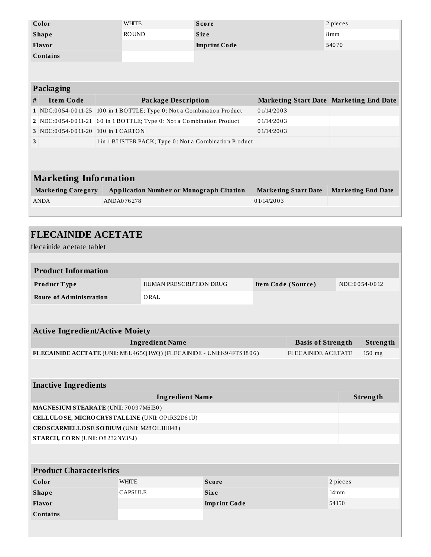|                                                                                          | Color                                  |                              | <b>WHITE</b><br><b>Score</b><br><b>ROUND</b>                          |                                                        |                           | 2 pieces                    |                                         |                           |  |
|------------------------------------------------------------------------------------------|----------------------------------------|------------------------------|-----------------------------------------------------------------------|--------------------------------------------------------|---------------------------|-----------------------------|-----------------------------------------|---------------------------|--|
|                                                                                          | <b>Shape</b>                           |                              |                                                                       | <b>Size</b>                                            |                           |                             | 8 <sub>mm</sub>                         |                           |  |
|                                                                                          | Flavor<br><b>Imprint Code</b>          |                              | 54070                                                                 |                                                        |                           |                             |                                         |                           |  |
|                                                                                          | Contains                               |                              |                                                                       |                                                        |                           |                             |                                         |                           |  |
|                                                                                          |                                        |                              |                                                                       |                                                        |                           |                             |                                         |                           |  |
|                                                                                          | <b>Packaging</b>                       |                              |                                                                       |                                                        |                           |                             |                                         |                           |  |
|                                                                                          | <b>Item Code</b>                       |                              | <b>Package Description</b>                                            |                                                        |                           |                             |                                         |                           |  |
| #                                                                                        |                                        |                              |                                                                       |                                                        |                           |                             | Marketing Start Date Marketing End Date |                           |  |
|                                                                                          |                                        |                              | 1 NDC:0054-0011-25 100 in 1 BOTTLE; Type 0: Not a Combination Product |                                                        | 01/14/2003<br>01/14/2003  |                             |                                         |                           |  |
|                                                                                          | 3 NDC:0054-0011-20 100 in 1 CARTON     |                              | 2 NDC:0054-0011-21 60 in 1 BOTTLE; Type 0: Not a Combination Product  |                                                        |                           |                             |                                         |                           |  |
| 3                                                                                        |                                        |                              |                                                                       | 1 in 1 BLISTER PACK; Type 0: Not a Combination Product | 01/14/2003                |                             |                                         |                           |  |
|                                                                                          |                                        |                              |                                                                       |                                                        |                           |                             |                                         |                           |  |
|                                                                                          |                                        |                              |                                                                       |                                                        |                           |                             |                                         |                           |  |
|                                                                                          |                                        |                              |                                                                       |                                                        |                           |                             |                                         |                           |  |
|                                                                                          | <b>Marketing Information</b>           |                              |                                                                       |                                                        |                           |                             |                                         |                           |  |
|                                                                                          | <b>Marketing Category</b>              |                              | <b>Application Number or Monograph Citation</b>                       |                                                        |                           | <b>Marketing Start Date</b> |                                         | <b>Marketing End Date</b> |  |
|                                                                                          | <b>ANDA</b>                            | ANDA076278                   |                                                                       |                                                        | 01/14/2003                |                             |                                         |                           |  |
|                                                                                          |                                        |                              |                                                                       |                                                        |                           |                             |                                         |                           |  |
|                                                                                          |                                        |                              |                                                                       |                                                        |                           |                             |                                         |                           |  |
|                                                                                          | <b>FLECAINIDE ACETATE</b>              |                              |                                                                       |                                                        |                           |                             |                                         |                           |  |
|                                                                                          | flecainide acetate tablet              |                              |                                                                       |                                                        |                           |                             |                                         |                           |  |
|                                                                                          |                                        |                              |                                                                       |                                                        |                           |                             |                                         |                           |  |
|                                                                                          | <b>Product Information</b>             |                              |                                                                       |                                                        |                           |                             |                                         |                           |  |
| Product Type                                                                             |                                        |                              | HUMAN PRESCRIPTION DRUG                                               |                                                        | Item Code (Source)        |                             |                                         | NDC:0054-0012             |  |
| <b>Route of Administration</b>                                                           |                                        |                              | ORAL                                                                  |                                                        |                           |                             |                                         |                           |  |
|                                                                                          |                                        |                              |                                                                       |                                                        |                           |                             |                                         |                           |  |
|                                                                                          |                                        |                              |                                                                       |                                                        |                           |                             |                                         |                           |  |
|                                                                                          | <b>Active Ingredient/Active Moiety</b> |                              |                                                                       |                                                        |                           |                             |                                         |                           |  |
|                                                                                          |                                        |                              | <b>Ingredient Name</b>                                                |                                                        |                           | <b>Basis of Strength</b>    |                                         | Strength                  |  |
|                                                                                          |                                        |                              | FLECAINIDE ACETATE (UNII: M8 U465Q1WQ) (FLECAINIDE - UNII:K94FTS1806) |                                                        | <b>FLECAINIDE ACETATE</b> | 150 mg                      |                                         |                           |  |
|                                                                                          |                                        |                              |                                                                       |                                                        |                           |                             |                                         |                           |  |
|                                                                                          |                                        |                              |                                                                       |                                                        |                           |                             |                                         |                           |  |
|                                                                                          | <b>Inactive Ingredients</b>            |                              |                                                                       |                                                        |                           |                             |                                         |                           |  |
|                                                                                          |                                        |                              |                                                                       |                                                        |                           |                             |                                         | Strength                  |  |
|                                                                                          |                                        |                              | <b>Ingredient Name</b>                                                |                                                        |                           |                             |                                         |                           |  |
| MAGNESIUM STEARATE (UNII: 70097M6I30)<br>CELLULOSE, MICRO CRYSTALLINE (UNII: OP1R32D61U) |                                        |                              |                                                                       |                                                        |                           |                             |                                         |                           |  |
| CROSCARMELLOSE SODIUM (UNII: M28OL1HH48)                                                 |                                        |                              |                                                                       |                                                        |                           |                             |                                         |                           |  |
|                                                                                          | STARCH, CORN (UNII: O8232NY3SJ)        |                              |                                                                       |                                                        |                           |                             |                                         |                           |  |
|                                                                                          |                                        |                              |                                                                       |                                                        |                           |                             |                                         |                           |  |
|                                                                                          |                                        |                              |                                                                       |                                                        |                           |                             |                                         |                           |  |
|                                                                                          | <b>Product Characteristics</b>         |                              |                                                                       |                                                        |                           |                             |                                         |                           |  |
|                                                                                          | Color                                  | <b>WHITE</b>                 |                                                                       | Score                                                  |                           |                             | 2 pieces                                |                           |  |
|                                                                                          | <b>Shape</b>                           | <b>CAPSULE</b>               |                                                                       | Size                                                   |                           |                             | 14 <sub>mm</sub>                        |                           |  |
|                                                                                          | Flavor                                 | <b>Imprint Code</b><br>54150 |                                                                       |                                                        |                           |                             |                                         |                           |  |

**Contains**